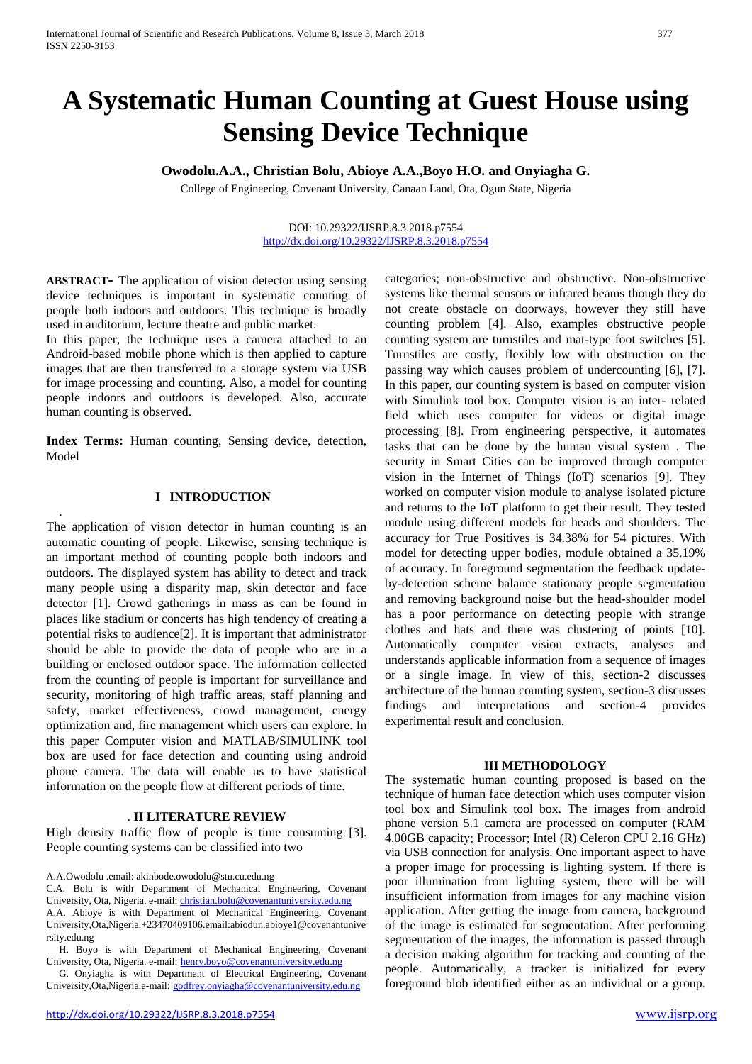# **A Systematic Human Counting at Guest House using Sensing Device Technique**

## **Owodolu.A.A., Christian Bolu, Abioye A.A.,Boyo H.O. and Onyiagha G.**

College of Engineering, Covenant University, Canaan Land, Ota, Ogun State, Nigeria

### DOI: 10.29322/IJSRP.8.3.2018.p7554 <http://dx.doi.org/10.29322/IJSRP.8.3.2018.p7554>

**ABSTRACT-** The application of vision detector using sensing device techniques is important in systematic counting of people both indoors and outdoors. This technique is broadly used in auditorium, lecture theatre and public market.

In this paper, the technique uses a camera attached to an Android-based mobile phone which is then applied to capture images that are then transferred to a storage system via USB for image processing and counting. Also, a model for counting people indoors and outdoors is developed. Also, accurate human counting is observed.

**Index Terms:** Human counting, Sensing device, detection, Model

## **I INTRODUCTION**

.

The application of vision detector in human counting is an automatic counting of people. Likewise, sensing technique is an important method of counting people both indoors and outdoors. The displayed system has ability to detect and track many people using a disparity map, skin detector and face detector [1]. Crowd gatherings in mass as can be found in places like stadium or concerts has high tendency of creating a potential risks to audience[2]. It is important that administrator should be able to provide the data of people who are in a building or enclosed outdoor space. The information collected from the counting of people is important for surveillance and security, monitoring of high traffic areas, staff planning and safety, market effectiveness, crowd management, energy optimization and, fire management which users can explore. In this paper Computer vision and MATLAB/SIMULINK tool box are used for face detection and counting using android phone camera. The data will enable us to have statistical information on the people flow at different periods of time.

### . **II LITERATURE REVIEW**

High density traffic flow of people is time consuming [3]. People counting systems can be classified into two

A.A.Owodolu .email: akinbode.owodolu@stu.cu.edu.ng

C.A. Bolu is with Department of Mechanical Engineering, Covenant University, Ota, Nigeria. e-mail: [christian.bolu@covenantuniversity.edu.ng](mailto:christian.bolu@covenantuniversity.edu.ng) A.A. Abioye is with Department of Mechanical Engineering, Covenant University,Ota,Nigeria.+23470409106.email:abiodun.abioye1@covenantunive rsity.edu.ng

H. Boyo is with Department of Mechanical Engineering, Covenant University, Ota, Nigeria. e-mail: [henry.boyo@covenantuniversity.edu.ng](mailto:henry.boyo@covenantuniversity.edu.ng)

G. Onyiagha is with Department of Electrical Engineering, Covenant University,Ota,Nigeria.e-mail: [godfrey.onyiagha@covenantuniversity.edu.ng](mailto:godfrey.onyiagha@covenantuniversity.edu.ng)

categories; non-obstructive and obstructive. Non-obstructive systems like thermal sensors or infrared beams though they do not create obstacle on doorways, however they still have counting problem [4]. Also, examples obstructive people counting system are turnstiles and mat-type foot switches [5]. Turnstiles are costly, flexibly low with obstruction on the passing way which causes problem of undercounting [6], [7]. In this paper, our counting system is based on computer vision with Simulink tool box. Computer vision is an inter- [related](https://en.wikipedia.org/wiki/Interdisciplinarity) [field](https://en.wikipedia.org/wiki/Interdisciplinarity) which uses computer for [videos](https://en.wikipedia.org/wiki/Video) or digital image processing [8]. From [engineering](https://en.wikipedia.org/wiki/Engineering) perspective, it automates tasks that can be done by the [human visual system](https://en.wikipedia.org/wiki/Human_visual_system) . The security in Smart Cities can be improved through computer vision in the Internet of Things (IoT) scenarios [9]. They worked on computer vision module to analyse isolated picture and returns to the IoT platform to get their result. They tested module using different models for heads and shoulders. The accuracy for True Positives is 34.38% for 54 pictures. With model for detecting upper bodies, module obtained a 35.19% of accuracy. In foreground segmentation the feedback updateby-detection scheme balance stationary people segmentation and removing background noise but the head-shoulder model has a poor performance on detecting people with strange clothes and hats and there was clustering of points [10]. Automatically computer vision extracts, analyses and understands applicable information from a sequence of images or a single image. In view of this, section-2 discusses architecture of the human counting system, section-3 discusses findings and interpretations and section-4 provides experimental result and conclusion.

#### **III METHODOLOGY**

The systematic human counting proposed is based on the technique of human face detection which uses computer vision tool box and Simulink tool box. The images from android phone version 5.1 camera are processed on computer (RAM 4.00GB capacity; Processor; Intel (R) Celeron CPU 2.16 GHz) via USB connection for analysis. One important aspect to have a proper image for processing is lighting system. If there is poor illumination from lighting system, there will be will insufficient information from images for any machine vision application. After getting the image from camera, background of the image is estimated for segmentation. After performing segmentation of the images, the information is passed through a decision making algorithm for tracking and counting of the people. Automatically, a tracker is initialized for every foreground blob identified either as an individual or a group.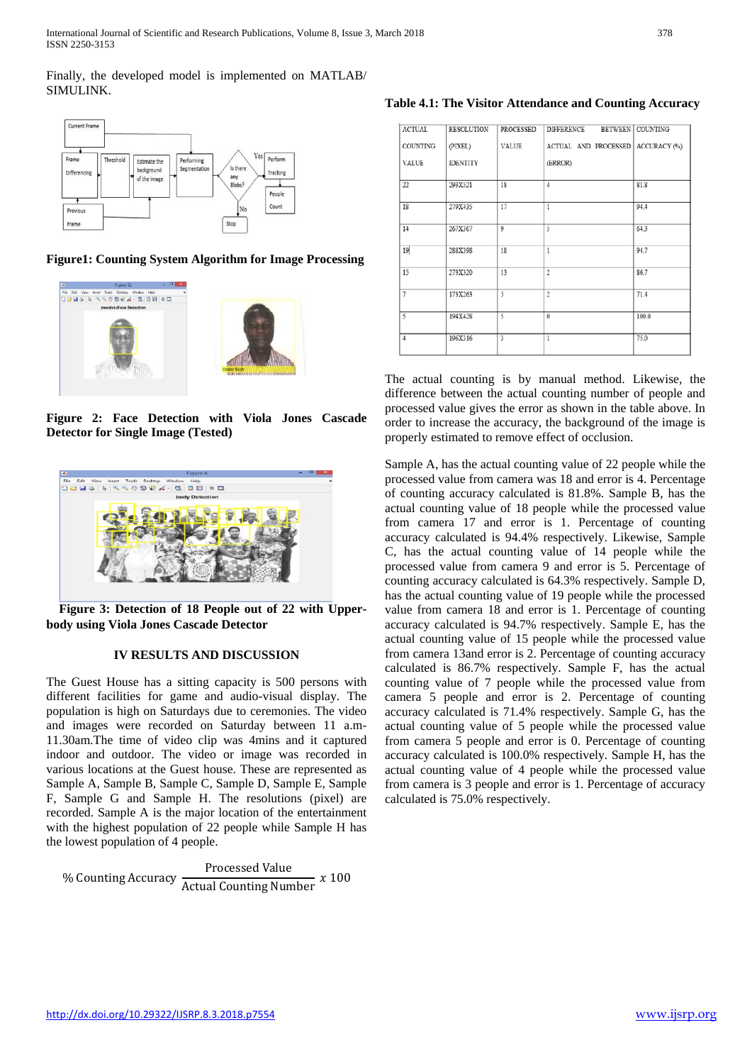Finally, the developed model is implemented on MATLAB/ SIMULINK.



**Figure1: Counting System Algorithm for Image Processing**



**Figure 2: Face Detection with Viola Jones Cascade Detector for Single Image (Tested)**



**Figure 3: Detection of 18 People out of 22 with Upperbody using Viola Jones Cascade Detector**

## **IV RESULTS AND DISCUSSION**

The Guest House has a sitting capacity is 500 persons with different facilities for game and audio-visual display. The population is high on Saturdays due to ceremonies. The video and images were recorded on Saturday between 11 a.m-11.30am.The time of video clip was 4mins and it captured indoor and outdoor. The video or image was recorded in various locations at the Guest house. These are represented as Sample A, Sample B, Sample C, Sample D, Sample E, Sample F, Sample G and Sample H. The resolutions (pixel) are recorded. Sample A is the major location of the entertainment with the highest population of 22 people while Sample H has the lowest population of 4 people.

% Counting Accuracy  $\frac{\text{Proceedsed Value}}{\text{Actual Counting Number}}$  *x* 100

**Table 4.1: The Visitor Attendance and Counting Accuracy**

| ACTUAL            | RESOLUTION      | <b>PROCESSED</b> | <b>DIFFERENCE</b>    | BETWEEN COUNTING |
|-------------------|-----------------|------------------|----------------------|------------------|
| COUNTING          | (PIXEL)         | VALUE            | ACTUAL AND PROCESSED | ACCURACY (%)     |
| VALUE             | <b>IDENTITY</b> |                  | (ERROR)              |                  |
| $22\,$            | 293X521         | 18               | $\overline{4}$       | 81.8             |
| 18                | 279X435         | 17               | $\mathbf{1}$         | 94.4             |
| 14                | 267X367         | 9                | 5                    | 64.3             |
| 19                | 288X398         | 18               | $\mathbf{1}$         | 94.7             |
| 15                | 273X320         | 13               | $\overline{c}$       | 86.7             |
| $\overline{\tau}$ | 173X263         | 5                | 2                    | 71.4             |
| 5                 | 194X428         | 5                | 0                    | 100.0            |
| $\overline{4}$    | 196X316         | 3                | $\mathbf{1}$         | 75.0             |

The actual counting is by manual method. Likewise, the difference between the actual counting number of people and processed value gives the error as shown in the table above. In order to increase the accuracy, the background of the image is properly estimated to remove effect of occlusion.

Sample A, has the actual counting value of 22 people while the processed value from camera was 18 and error is 4. Percentage of counting accuracy calculated is 81.8%. Sample B, has the actual counting value of 18 people while the processed value from camera 17 and error is 1. Percentage of counting accuracy calculated is 94.4% respectively. Likewise, Sample C, has the actual counting value of 14 people while the processed value from camera 9 and error is 5. Percentage of counting accuracy calculated is 64.3% respectively. Sample D, has the actual counting value of 19 people while the processed value from camera 18 and error is 1. Percentage of counting accuracy calculated is 94.7% respectively. Sample E, has the actual counting value of 15 people while the processed value from camera 13and error is 2. Percentage of counting accuracy calculated is 86.7% respectively. Sample F, has the actual counting value of 7 people while the processed value from camera 5 people and error is 2. Percentage of counting accuracy calculated is 71.4% respectively. Sample G, has the actual counting value of 5 people while the processed value from camera 5 people and error is 0. Percentage of counting accuracy calculated is 100.0% respectively. Sample H, has the actual counting value of 4 people while the processed value from camera is 3 people and error is 1. Percentage of accuracy calculated is 75.0% respectively.